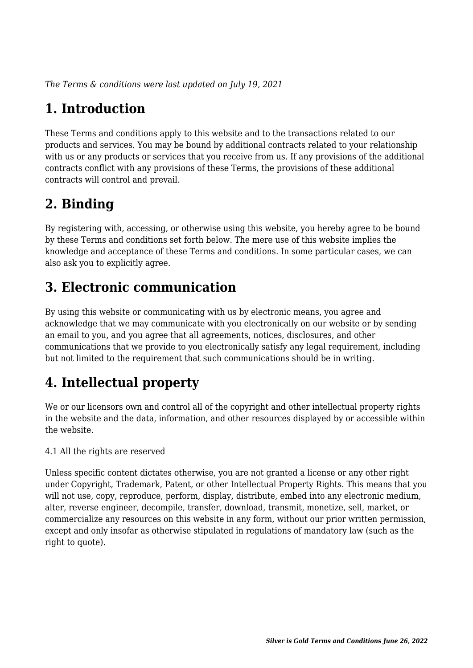*The Terms & conditions were last updated on July 19, 2021*

# **1. Introduction**

These Terms and conditions apply to this website and to the transactions related to our products and services. You may be bound by additional contracts related to your relationship with us or any products or services that you receive from us. If any provisions of the additional contracts conflict with any provisions of these Terms, the provisions of these additional contracts will control and prevail.

# **2. Binding**

By registering with, accessing, or otherwise using this website, you hereby agree to be bound by these Terms and conditions set forth below. The mere use of this website implies the knowledge and acceptance of these Terms and conditions. In some particular cases, we can also ask you to explicitly agree.

# **3. Electronic communication**

By using this website or communicating with us by electronic means, you agree and acknowledge that we may communicate with you electronically on our website or by sending an email to you, and you agree that all agreements, notices, disclosures, and other communications that we provide to you electronically satisfy any legal requirement, including but not limited to the requirement that such communications should be in writing.

# **4. Intellectual property**

We or our licensors own and control all of the copyright and other intellectual property rights in the website and the data, information, and other resources displayed by or accessible within the website.

4.1 All the rights are reserved

Unless specific content dictates otherwise, you are not granted a license or any other right under Copyright, Trademark, Patent, or other Intellectual Property Rights. This means that you will not use, copy, reproduce, perform, display, distribute, embed into any electronic medium, alter, reverse engineer, decompile, transfer, download, transmit, monetize, sell, market, or commercialize any resources on this website in any form, without our prior written permission, except and only insofar as otherwise stipulated in regulations of mandatory law (such as the right to quote).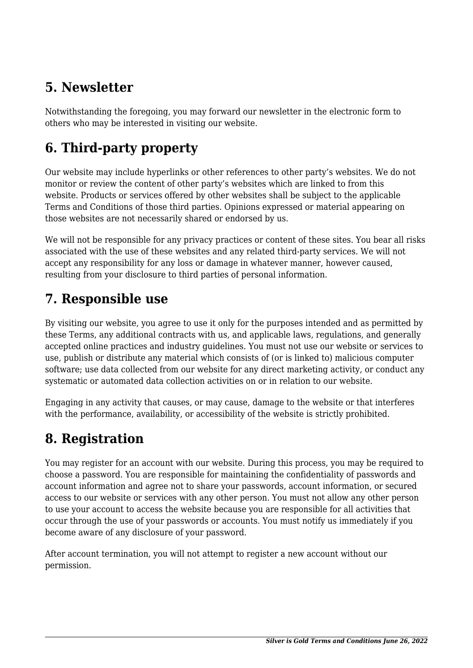## **5. Newsletter**

Notwithstanding the foregoing, you may forward our newsletter in the electronic form to others who may be interested in visiting our website.

# **6. Third-party property**

Our website may include hyperlinks or other references to other party's websites. We do not monitor or review the content of other party's websites which are linked to from this website. Products or services offered by other websites shall be subject to the applicable Terms and Conditions of those third parties. Opinions expressed or material appearing on those websites are not necessarily shared or endorsed by us.

We will not be responsible for any privacy practices or content of these sites. You bear all risks associated with the use of these websites and any related third-party services. We will not accept any responsibility for any loss or damage in whatever manner, however caused, resulting from your disclosure to third parties of personal information.

#### **7. Responsible use**

By visiting our website, you agree to use it only for the purposes intended and as permitted by these Terms, any additional contracts with us, and applicable laws, regulations, and generally accepted online practices and industry guidelines. You must not use our website or services to use, publish or distribute any material which consists of (or is linked to) malicious computer software; use data collected from our website for any direct marketing activity, or conduct any systematic or automated data collection activities on or in relation to our website.

Engaging in any activity that causes, or may cause, damage to the website or that interferes with the performance, availability, or accessibility of the website is strictly prohibited.

## **8. Registration**

You may register for an account with our website. During this process, you may be required to choose a password. You are responsible for maintaining the confidentiality of passwords and account information and agree not to share your passwords, account information, or secured access to our website or services with any other person. You must not allow any other person to use your account to access the website because you are responsible for all activities that occur through the use of your passwords or accounts. You must notify us immediately if you become aware of any disclosure of your password.

After account termination, you will not attempt to register a new account without our permission.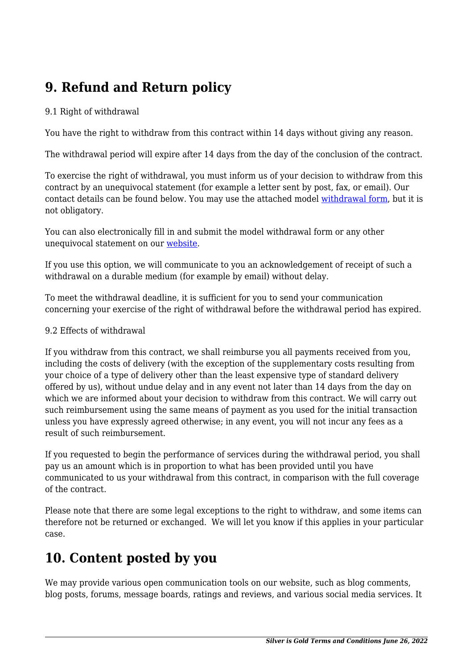# **9. Refund and Return policy**

#### 9.1 Right of withdrawal

You have the right to withdraw from this contract within 14 days without giving any reason.

The withdrawal period will expire after 14 days from the day of the conclusion of the contract.

To exercise the right of withdrawal, you must inform us of your decision to withdraw from this contract by an unequivocal statement (for example a letter sent by post, fax, or email). Our contact details can be found below. You may use the attached model [withdrawal form](https://www.silverisgold.org/wp-content/uploads/complianz/withdrawal-forms/withdrawal-form-en.pdf), but it is not obligatory.

You can also electronically fill in and submit the model withdrawal form or any other unequivocal statement on our website.

If you use this option, we will communicate to you an acknowledgement of receipt of such a withdrawal on a durable medium (for example by email) without delay.

To meet the withdrawal deadline, it is sufficient for you to send your communication concerning your exercise of the right of withdrawal before the withdrawal period has expired.

#### 9.2 Effects of withdrawal

If you withdraw from this contract, we shall reimburse you all payments received from you, including the costs of delivery (with the exception of the supplementary costs resulting from your choice of a type of delivery other than the least expensive type of standard delivery offered by us), without undue delay and in any event not later than 14 days from the day on which we are informed about your decision to withdraw from this contract. We will carry out such reimbursement using the same means of payment as you used for the initial transaction unless you have expressly agreed otherwise; in any event, you will not incur any fees as a result of such reimbursement.

If you requested to begin the performance of services during the withdrawal period, you shall pay us an amount which is in proportion to what has been provided until you have communicated to us your withdrawal from this contract, in comparison with the full coverage of the contract.

Please note that there are some legal exceptions to the right to withdraw, and some items can therefore not be returned or exchanged. We will let you know if this applies in your particular case.

#### **10. Content posted by you**

We may provide various open communication tools on our website, such as blog comments, blog posts, forums, message boards, ratings and reviews, and various social media services. It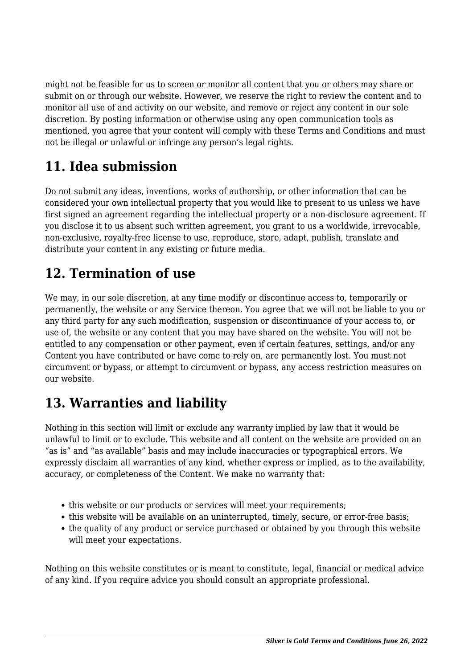might not be feasible for us to screen or monitor all content that you or others may share or submit on or through our website. However, we reserve the right to review the content and to monitor all use of and activity on our website, and remove or reject any content in our sole discretion. By posting information or otherwise using any open communication tools as mentioned, you agree that your content will comply with these Terms and Conditions and must not be illegal or unlawful or infringe any person's legal rights.

# **11. Idea submission**

Do not submit any ideas, inventions, works of authorship, or other information that can be considered your own intellectual property that you would like to present to us unless we have first signed an agreement regarding the intellectual property or a non-disclosure agreement. If you disclose it to us absent such written agreement, you grant to us a worldwide, irrevocable, non-exclusive, royalty-free license to use, reproduce, store, adapt, publish, translate and distribute your content in any existing or future media.

## **12. Termination of use**

We may, in our sole discretion, at any time modify or discontinue access to, temporarily or permanently, the website or any Service thereon. You agree that we will not be liable to you or any third party for any such modification, suspension or discontinuance of your access to, or use of, the website or any content that you may have shared on the website. You will not be entitled to any compensation or other payment, even if certain features, settings, and/or any Content you have contributed or have come to rely on, are permanently lost. You must not circumvent or bypass, or attempt to circumvent or bypass, any access restriction measures on our website.

## **13. Warranties and liability**

Nothing in this section will limit or exclude any warranty implied by law that it would be unlawful to limit or to exclude. This website and all content on the website are provided on an "as is" and "as available" basis and may include inaccuracies or typographical errors. We expressly disclaim all warranties of any kind, whether express or implied, as to the availability, accuracy, or completeness of the Content. We make no warranty that:

- this website or our products or services will meet your requirements;
- this website will be available on an uninterrupted, timely, secure, or error-free basis;
- the quality of any product or service purchased or obtained by you through this website will meet your expectations.

Nothing on this website constitutes or is meant to constitute, legal, financial or medical advice of any kind. If you require advice you should consult an appropriate professional.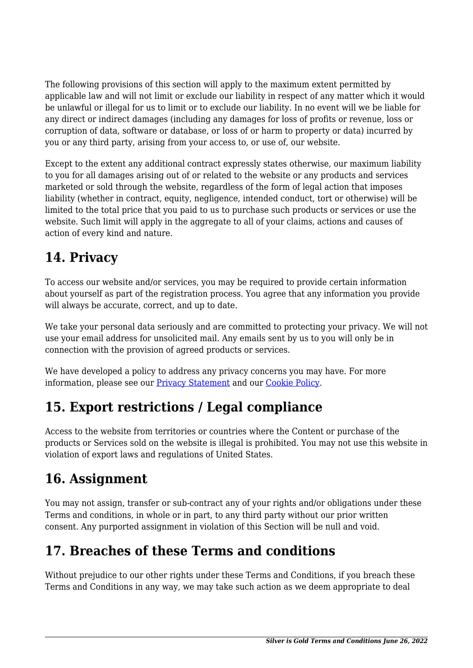The following provisions of this section will apply to the maximum extent permitted by applicable law and will not limit or exclude our liability in respect of any matter which it would be unlawful or illegal for us to limit or to exclude our liability. In no event will we be liable for any direct or indirect damages (including any damages for loss of profits or revenue, loss or corruption of data, software or database, or loss of or harm to property or data) incurred by you or any third party, arising from your access to, or use of, our website.

Except to the extent any additional contract expressly states otherwise, our maximum liability to you for all damages arising out of or related to the website or any products and services marketed or sold through the website, regardless of the form of legal action that imposes liability (whether in contract, equity, negligence, intended conduct, tort or otherwise) will be limited to the total price that you paid to us to purchase such products or services or use the website. Such limit will apply in the aggregate to all of your claims, actions and causes of action of every kind and nature.

## **14. Privacy**

To access our website and/or services, you may be required to provide certain information about yourself as part of the registration process. You agree that any information you provide will always be accurate, correct, and up to date.

We take your personal data seriously and are committed to protecting your privacy. We will not use your email address for unsolicited mail. Any emails sent by us to you will only be in connection with the provision of agreed products or services.

We have developed a policy to address any privacy concerns you may have. For more information, please see our Privacy Statement and our Cookie Policy.

## **15. Export restrictions / Legal compliance**

Access to the website from territories or countries where the Content or purchase of the products or Services sold on the website is illegal is prohibited. You may not use this website in violation of export laws and regulations of United States.

#### **16. Assignment**

You may not assign, transfer or sub-contract any of your rights and/or obligations under these Terms and conditions, in whole or in part, to any third party without our prior written consent. Any purported assignment in violation of this Section will be null and void.

## **17. Breaches of these Terms and conditions**

Without prejudice to our other rights under these Terms and Conditions, if you breach these Terms and Conditions in any way, we may take such action as we deem appropriate to deal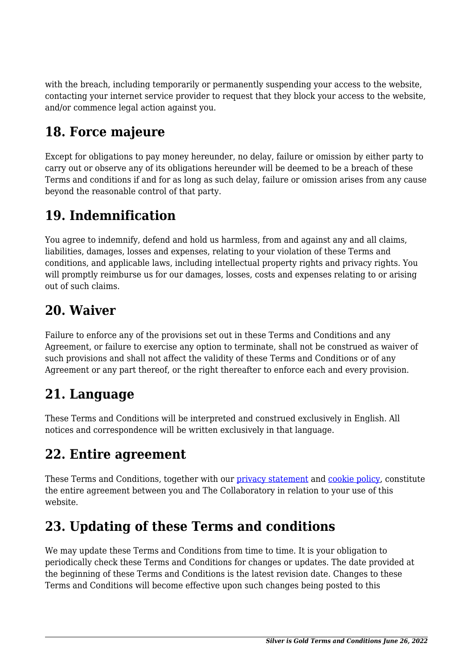with the breach, including temporarily or permanently suspending your access to the website, contacting your internet service provider to request that they block your access to the website, and/or commence legal action against you.

## **18. Force majeure**

Except for obligations to pay money hereunder, no delay, failure or omission by either party to carry out or observe any of its obligations hereunder will be deemed to be a breach of these Terms and conditions if and for as long as such delay, failure or omission arises from any cause beyond the reasonable control of that party.

## **19. Indemnification**

You agree to indemnify, defend and hold us harmless, from and against any and all claims, liabilities, damages, losses and expenses, relating to your violation of these Terms and conditions, and applicable laws, including intellectual property rights and privacy rights. You will promptly reimburse us for our damages, losses, costs and expenses relating to or arising out of such claims.

## **20. Waiver**

Failure to enforce any of the provisions set out in these Terms and Conditions and any Agreement, or failure to exercise any option to terminate, shall not be construed as waiver of such provisions and shall not affect the validity of these Terms and Conditions or of any Agreement or any part thereof, or the right thereafter to enforce each and every provision.

#### **21. Language**

These Terms and Conditions will be interpreted and construed exclusively in English. All notices and correspondence will be written exclusively in that language.

#### **22. Entire agreement**

These Terms and Conditions, together with our privacy statement and cookie policy, constitute the entire agreement between you and The Collaboratory in relation to your use of this website.

# **23. Updating of these Terms and conditions**

We may update these Terms and Conditions from time to time. It is your obligation to periodically check these Terms and Conditions for changes or updates. The date provided at the beginning of these Terms and Conditions is the latest revision date. Changes to these Terms and Conditions will become effective upon such changes being posted to this